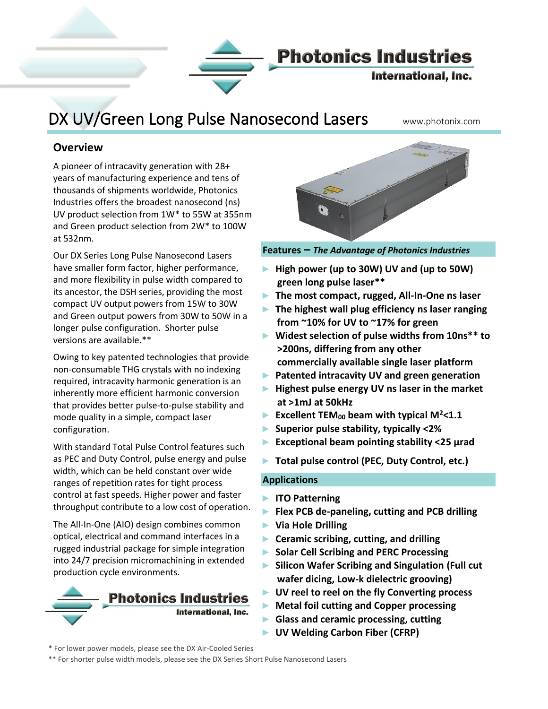

# DX UV/Green Long Pulse Nanosecond Lasers www.photonix.com

### **Overview**

Į

A pioneer of intracavity generation with 28+ years of manufacturing experience and tens of thousands of shipments worldwide, Photonics Industries offers the broadest nanosecond (ns) UV product selection from 1W\* to 55W at 355nm and Green product selection from 2W\* to 100W at 532nm.

Our DX Series Long Pulse Nanosecond Lasers have smaller form factor, higher performance, and more flexibility in pulse width compared to its ancestor, the DSH series, providing the most compact UV output powers from 15W to 30W and Green output powers from 30W to 50W in a longer pulse configuration. Shorter pulse versions are available.\*\*

Owing to key patented technologies that provide non-consumable THG crystals with no indexing required, intracavity harmonic generation is an inherently more efficient harmonic conversion that provides better pulse-to-pulse stability and mode quality in a simple, compact laser configuration.

With standard Total Pulse Control features such as PEC and Duty Control, pulse energy and pulse width, which can be held constant over wide ranges of repetition rates for tight process control at fast speeds. Higher power and faster throughput contribute to a low cost of operation.

The All-In-One (AIO) design combines common optical, electrical and command interfaces in a rugged industrial package for simple integration into 24/7 precision micromachining in extended production cycle environments.





**Features –** *The Advantage of Photonics Industries*

- ► **High power (up to 30W) UV and (up to 50W) green long pulse laser\*\***
- ► **The most compact, rugged, All-In-One ns laser**
- ► **The highest wall plug efficiency ns laser ranging from ~10% for UV to ~17% for green**
- ► **Widest selection of pulse widths from 10ns\*\* to >200ns, differing from any other commercially available single laser platform**
- ► **Patented intracavity UV and green generation**
- ► **Highest pulse energy UV ns laser in the market at >1mJ at 50kHz**
- ► **Excellent TEM<sup>00</sup> beam with typical M<sup>2</sup><1.1**
- ► **Superior pulse stability, typically <2%**
- ► **Exceptional beam pointing stability <25 μrad**
- ► **Total pulse control (PEC, Duty Control, etc.)**

#### **Applications**

- ► **ITO Patterning**
- ► **Flex PCB de-paneling, cutting and PCB drilling**
- ► **Via Hole Drilling**
- ► **Ceramic scribing, cutting, and drilling**
- ► **Solar Cell Scribing and PERC Processing**
- ► **Silicon Wafer Scribing and Singulation (Full cut wafer dicing, Low-k dielectric grooving)**
- ► **UV reel to reel on the fly Converting process**
- ► **Metal foil cutting and Copper processing**
- ► **Glass and ceramic processing, cutting**
- ► **UV Welding Carbon Fiber (CFRP)**
- \* For lower power models, please see the DX Air-Cooled Series
- \*\* For shorter pulse width models, please see the DX Series Short Pulse Nanosecond Lasers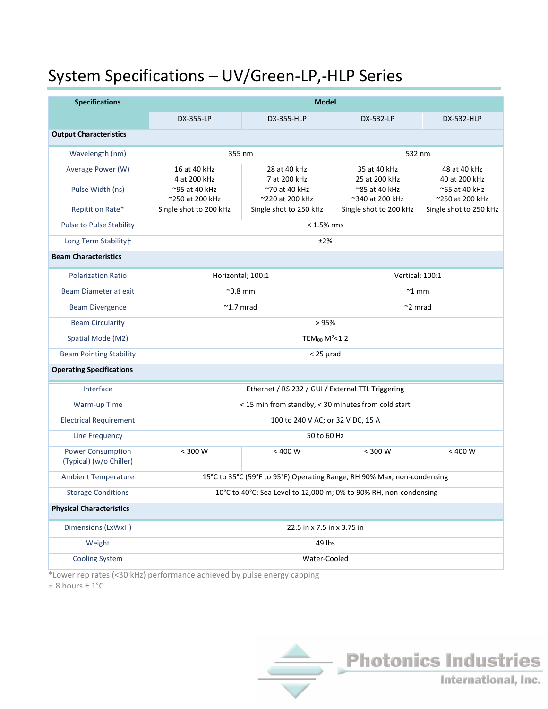# System Specifications – UV/Green-LP,-HLP Series

| <b>Specifications</b>                               | <b>Model</b>                                                            |                                  |                                  |                                  |
|-----------------------------------------------------|-------------------------------------------------------------------------|----------------------------------|----------------------------------|----------------------------------|
|                                                     | DX-355-LP                                                               | <b>DX-355-HLP</b>                | DX-532-LP                        | <b>DX-532-HLP</b>                |
| <b>Output Characteristics</b>                       |                                                                         |                                  |                                  |                                  |
| Wavelength (nm)                                     | 355 nm                                                                  |                                  | 532 nm                           |                                  |
| Average Power (W)                                   | 16 at 40 kHz<br>4 at 200 kHz                                            | 28 at 40 kHz<br>7 at 200 kHz     | 35 at 40 kHz<br>25 at 200 kHz    | 48 at 40 kHz<br>40 at 200 kHz    |
| Pulse Width (ns)                                    | ~95 at 40 kHz<br>~250 at 200 kHz                                        | ~70 at 40 kHz<br>~220 at 200 kHz | ~85 at 40 kHz<br>~340 at 200 kHz | ~65 at 40 kHz<br>~250 at 200 kHz |
| <b>Repitition Rate*</b>                             | Single shot to 200 kHz                                                  | Single shot to 250 kHz           | Single shot to 200 kHz           | Single shot to 250 kHz           |
| <b>Pulse to Pulse Stability</b>                     | $< 1.5\%$ rms                                                           |                                  |                                  |                                  |
| Long Term Stability‡                                | ±2%                                                                     |                                  |                                  |                                  |
| <b>Beam Characteristics</b>                         |                                                                         |                                  |                                  |                                  |
| <b>Polarization Ratio</b>                           | Horizontal; 100:1                                                       |                                  | Vertical; 100:1                  |                                  |
| Beam Diameter at exit                               | $^{\sim}$ 0.8 mm                                                        |                                  | $~\tilde{}$ 1 mm                 |                                  |
| <b>Beam Divergence</b>                              | $~^{\sim}$ 1.7 mrad                                                     |                                  | $\sim$ 2 mrad                    |                                  |
| <b>Beam Circularity</b>                             | > 95%                                                                   |                                  |                                  |                                  |
| Spatial Mode (M2)                                   | TEM <sub>00</sub> M <sup>2</sup> <1.2                                   |                                  |                                  |                                  |
| <b>Beam Pointing Stability</b>                      | $<$ 25 $\mu$ rad                                                        |                                  |                                  |                                  |
| <b>Operating Specifications</b>                     |                                                                         |                                  |                                  |                                  |
| Interface                                           | Ethernet / RS 232 / GUI / External TTL Triggering                       |                                  |                                  |                                  |
| Warm-up Time                                        | < 15 min from standby, < 30 minutes from cold start                     |                                  |                                  |                                  |
| <b>Electrical Requirement</b>                       | 100 to 240 V AC; or 32 V DC, 15 A                                       |                                  |                                  |                                  |
| Line Frequency                                      | 50 to 60 Hz                                                             |                                  |                                  |                                  |
| <b>Power Consumption</b><br>(Typical) (w/o Chiller) | $< 300 W$                                                               | < 400 W                          | $< 300 W$                        | $< 400 W$                        |
| <b>Ambient Temperature</b>                          | 15°C to 35°C (59°F to 95°F) Operating Range, RH 90% Max, non-condensing |                                  |                                  |                                  |
| <b>Storage Conditions</b>                           | -10°C to 40°C; Sea Level to 12,000 m; 0% to 90% RH, non-condensing      |                                  |                                  |                                  |
| <b>Physical Characteristics</b>                     |                                                                         |                                  |                                  |                                  |
| Dimensions (LxWxH)                                  | 22.5 in x 7.5 in x 3.75 in                                              |                                  |                                  |                                  |
| Weight                                              | 49 lbs                                                                  |                                  |                                  |                                  |
| <b>Cooling System</b>                               | Water-Cooled                                                            |                                  |                                  |                                  |

\*Lower rep rates (<30 kHz) performance achieved by pulse energy capping ǂ 8 hours ± 1°C

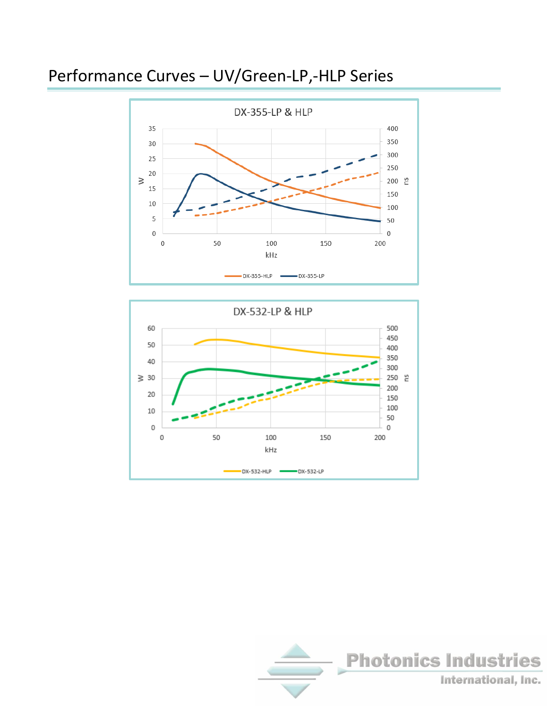## Performance Curves – UV/Green-LP,-HLP Series